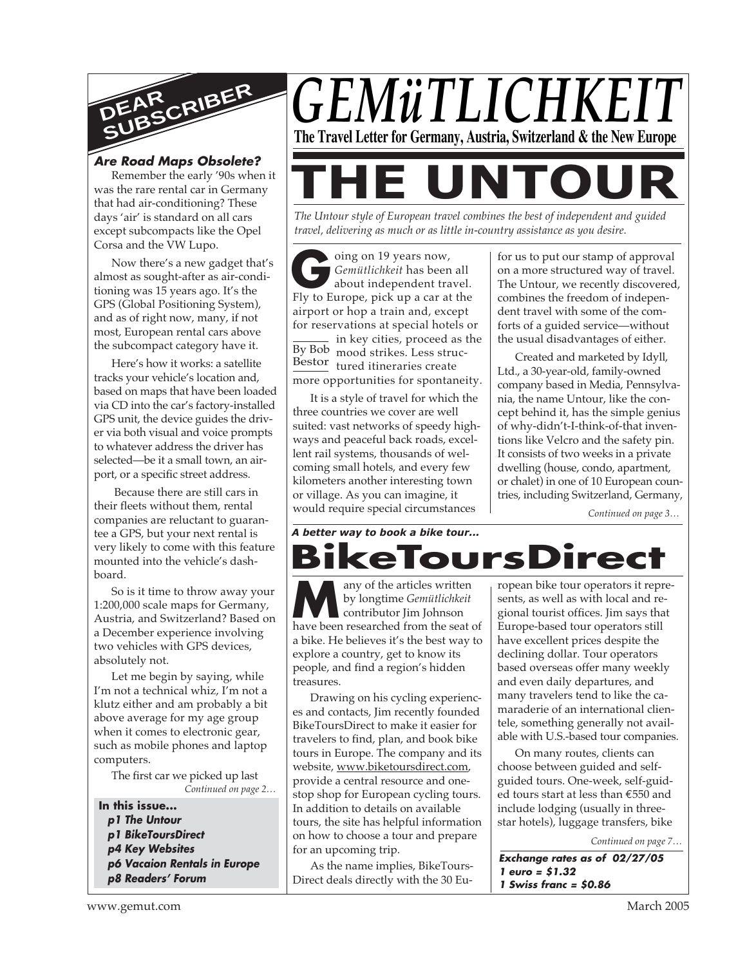

#### **Are Road Maps Obsolete?**

Remember the early '90s when it was the rare rental car in Germany that had air-conditioning? These days 'air' is standard on all cars except subcompacts like the Opel Corsa and the VW Lupo.

Now there's a new gadget that's almost as sought-after as air-conditioning was 15 years ago. It's the GPS (Global Positioning System), and as of right now, many, if not most, European rental cars above the subcompact category have it.

Here's how it works: a satellite tracks your vehicle's location and, based on maps that have been loaded via CD into the car's factory-installed GPS unit, the device guides the driver via both visual and voice prompts to whatever address the driver has selected—be it a small town, an airport, or a specific street address.

 Because there are still cars in their fleets without them, rental companies are reluctant to guarantee a GPS, but your next rental is very likely to come with this feature mounted into the vehicle's dashboard.

So is it time to throw away your 1:200,000 scale maps for Germany, Austria, and Switzerland? Based on a December experience involving two vehicles with GPS devices, absolutely not.

Let me begin by saying, while I'm not a technical whiz, I'm not a klutz either and am probably a bit above average for my age group when it comes to electronic gear, such as mobile phones and laptop computers.

*Continued on page 2…* The first car we picked up last

- **In this issue...**
- **p1 The Untour p1 BikeToursDirect**
- **p4 Key Websites**
- 
- **p6 Vacaion Rentals in Europe p8 Readers' Forum**



**THE UNTOUR** *The Untour style of European travel combines the best of independent and guided travel, delivering as much or as little in-country assistance as you desire.*

Gemütlichkeit has been all about independent travel.<br>Fly to Europe, pick up a car at the By Bob mood strikes. Less struc-Bestor tured itineraries create oing on 19 years now, *Gemütlichkeit* has been all about independent travel. airport or hop a train and, except for reservations at special hotels or  $-$  in key cities, proceed as the more opportunities for spontaneity.

It is a style of travel for which the three countries we cover are well suited: vast networks of speedy highways and peaceful back roads, excellent rail systems, thousands of welcoming small hotels, and every few kilometers another interesting town or village. As you can imagine, it would require special circumstances

for us to put our stamp of approval on a more structured way of travel. The Untour, we recently discovered, combines the freedom of independent travel with some of the comforts of a guided service—without the usual disadvantages of either.

Created and marketed by Idyll, Ltd., a 30-year-old, family-owned company based in Media, Pennsylvania, the name Untour, like the concept behind it, has the simple genius of why-didn't-I-think-of-that inventions like Velcro and the safety pin. It consists of two weeks in a private dwelling (house, condo, apartment, or chalet) in one of 10 European countries, including Switzerland, Germany,

*Continued on page 3…*

*A better way to book a bike tour...*

any of the articles written by longtime *Gemütlichkeit* contributor Iim Johnson **Many of the articles written**<br>by longtime *Gemütlichkeit*<br>have been researched from the seat of a bike. He believes it's the best way to explore a country, get to know its people, and find a region's hidden treasures. **BikeToursDirect**

Drawing on his cycling experiences and contacts, Jim recently founded BikeToursDirect to make it easier for travelers to find, plan, and book bike tours in Europe. The company and its website, www.biketoursdirect.com, provide a central resource and onestop shop for European cycling tours. In addition to details on available tours, the site has helpful information on how to choose a tour and prepare for an upcoming trip.

As the name implies, BikeTours-Direct deals directly with the 30 Eu-

ropean bike tour operators it represents, as well as with local and regional tourist offices. Jim says that Europe-based tour operators still have excellent prices despite the declining dollar. Tour operators based overseas offer many weekly and even daily departures, and many travelers tend to like the camaraderie of an international clientele, something generally not available with U.S.-based tour companies.

On many routes, clients can choose between guided and selfguided tours. One-week, self-guided tours start at less than €550 and include lodging (usually in threestar hotels), luggage transfers, bike

*Continued on page 7…*

**Exchange rates as of 02/27/05 1 euro = \$1.32 1 Swiss franc = \$0.86**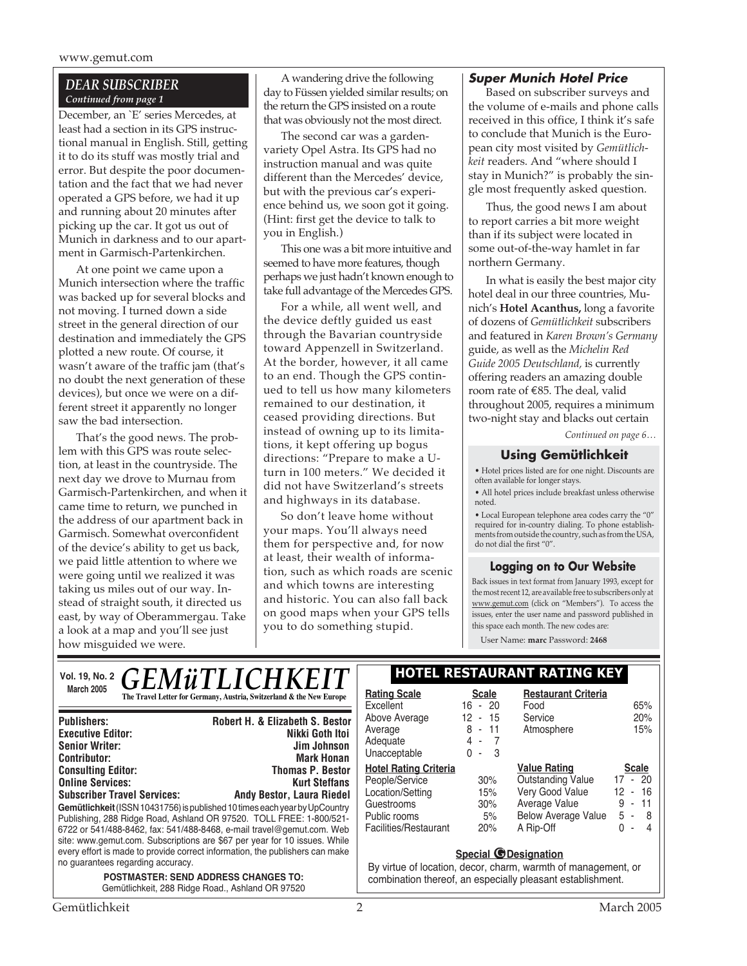www.gemut.com

#### *DEAR SUBSCRIBER Continued from page 1*

December, an `E' series Mercedes, at least had a section in its GPS instructional manual in English. Still, getting it to do its stuff was mostly trial and error. But despite the poor documentation and the fact that we had never operated a GPS before, we had it up and running about 20 minutes after picking up the car. It got us out of Munich in darkness and to our apartment in Garmisch-Partenkirchen.

At one point we came upon a Munich intersection where the traffic was backed up for several blocks and not moving. I turned down a side street in the general direction of our destination and immediately the GPS plotted a new route. Of course, it wasn't aware of the traffic jam (that's no doubt the next generation of these devices), but once we were on a different street it apparently no longer saw the bad intersection.

That's the good news. The problem with this GPS was route selection, at least in the countryside. The next day we drove to Murnau from Garmisch-Partenkirchen, and when it came time to return, we punched in the address of our apartment back in Garmisch. Somewhat overconfident of the device's ability to get us back, we paid little attention to where we were going until we realized it was taking us miles out of our way. Instead of straight south, it directed us east, by way of Oberammergau. Take a look at a map and you'll see just how misguided we were.

A wandering drive the following day to Füssen yielded similar results; on the return the GPS insisted on a route that was obviously not the most direct.

The second car was a gardenvariety Opel Astra. Its GPS had no instruction manual and was quite different than the Mercedes' device, but with the previous car's experience behind us, we soon got it going. (Hint: first get the device to talk to you in English.)

This one was a bit more intuitive and seemed to have more features, though perhaps we just hadn't known enough to take full advantage of the Mercedes GPS.

For a while, all went well, and the device deftly guided us east through the Bavarian countryside toward Appenzell in Switzerland. At the border, however, it all came to an end. Though the GPS continued to tell us how many kilometers remained to our destination, it ceased providing directions. But instead of owning up to its limitations, it kept offering up bogus directions: "Prepare to make a Uturn in 100 meters." We decided it did not have Switzerland's streets and highways in its database.

So don't leave home without your maps. You'll always need them for perspective and, for now at least, their wealth of information, such as which roads are scenic and which towns are interesting and historic. You can also fall back on good maps when your GPS tells you to do something stupid.

#### **Super Munich Hotel Price**

Based on subscriber surveys and the volume of e-mails and phone calls received in this office, I think it's safe to conclude that Munich is the European city most visited by *Gemütlichkeit* readers. And "where should I stay in Munich?" is probably the single most frequently asked question.

Thus, the good news I am about to report carries a bit more weight than if its subject were located in some out-of-the-way hamlet in far northern Germany.

In what is easily the best major city hotel deal in our three countries, Munich's **Hotel Acanthus,** long a favorite of dozens of *Gemütlichkeit* subscribers and featured in *Karen Brown's Germany* guide, as well as the *Michelin Red Guide 2005 Deutschland,* is currently offering readers an amazing double room rate of €85. The deal, valid throughout 2005, requires a minimum two-night stay and blacks out certain

*Continued on page 6…*

#### **Using Gemütlichkeit**

• Hotel prices listed are for one night. Discounts are often available for longer stays.

• All hotel prices include breakfast unless otherwise noted.

• Local European telephone area codes carry the "0" required for in-country dialing. To phone establishments from outside the country, such as from the USA, do not dial the first "0".

#### **Logging on to Our Website**

Back issues in text format from January 1993, except for the most recent 12, are available free to subscribers only at www.gemut.com (click on "Members"). To access the issues, enter the user name and password published in this space each month. The new codes are:

User Name: **marc** Password: **2468**

| <b>GEMÜTLICHKEIT</b><br>Vol. 19, No. 2                                                                            |                                                                                                                                                                                                                                                                                                                                                                                                | HOTEL RESTAURANT RATING KEY                                                                                               |                                              |                                                                                                                                |          |
|-------------------------------------------------------------------------------------------------------------------|------------------------------------------------------------------------------------------------------------------------------------------------------------------------------------------------------------------------------------------------------------------------------------------------------------------------------------------------------------------------------------------------|---------------------------------------------------------------------------------------------------------------------------|----------------------------------------------|--------------------------------------------------------------------------------------------------------------------------------|----------|
| <b>March 2005</b>                                                                                                 | The Travel Letter for Germany, Austria, Switzerland & the New Europe                                                                                                                                                                                                                                                                                                                           | <b>Rating Scale</b><br>Excellent                                                                                          | <b>Scale</b><br>$16 - 20$                    | <b>Restaurant Criteria</b><br>Food                                                                                             |          |
| <b>Publishers:</b><br><b>Executive Editor:</b><br><b>Senior Writer:</b><br><b>Contributor:</b>                    | <b>Robert H. &amp; Elizabeth S. Bestor</b><br>Nikki Goth Itoi<br>Jim Johnson<br><b>Mark Honan</b>                                                                                                                                                                                                                                                                                              | Above Average<br>Average<br>Adequate<br>Unacceptable                                                                      | $-15$<br>12.<br>$-11$<br>8<br>4 -<br>$0 - 3$ | Service<br>Atmosphere                                                                                                          |          |
| <b>Consulting Editor:</b><br><b>Online Services:</b><br><b>Subscriber Travel Services:</b>                        | <b>Thomas P. Bestor</b><br><b>Kurt Steffans</b><br><b>Andy Bestor, Laura Riedel</b><br>Gemütlichkeit (ISSN 10431756) is published 10 times each vear by UpCountry<br>Publishing, 288 Ridge Road, Ashland OR 97520. TOLL FREE: 1-800/521-<br>6722 or 541/488-8462, fax: 541/488-8468, e-mail travel@gemut.com. Web<br>site: www.gemut.com. Subscriptions are \$67 per year for 10 issues. While | <b>Hotel Rating Criteria</b><br>People/Service<br>Location/Setting<br>Guestrooms<br>Public rooms<br>Facilities/Restaurant | 30%<br>15%<br>30%<br>5%<br>20%               | <b>Value Rating</b><br><b>Outstanding Value</b><br>Very Good Value<br>Average Value<br><b>Below Average Value</b><br>A Rip-Off | 17<br>12 |
| every effort is made to provide correct information, the publishers can make<br>no guarantees regarding accuracy. |                                                                                                                                                                                                                                                                                                                                                                                                | <b>Special @Designation</b><br>By virtue of location, decor, charm, warmth of managemer                                   |                                              |                                                                                                                                |          |
| <b>POSTMASTER: SEND ADDRESS CHANGES TO:</b>                                                                       |                                                                                                                                                                                                                                                                                                                                                                                                | combination thereof an especially pleasant establishment                                                                  |                                              |                                                                                                                                |          |

Gemütlichkeit, 288 Ridge Road., Ashland OR 97520

| <b>Rating Scale</b>          | Scale                    | <b>Restaurant Criteria</b> |                                    |
|------------------------------|--------------------------|----------------------------|------------------------------------|
| Excellent                    | $16 - 20$                | Food                       | 65%                                |
| Above Average                | 12 - 15                  | Service                    | 20%                                |
| Average                      | 8 - 11                   | Atmosphere                 | 15%                                |
| Adequate                     | 4 -<br>- 7               |                            |                                    |
| Unacceptable                 | 3<br>0<br>$\blacksquare$ |                            |                                    |
| <b>Hotel Rating Criteria</b> |                          | <b>Value Rating</b>        | <b>Scale</b>                       |
| People/Service               | 30%                      | <b>Outstanding Value</b>   | $-20$<br>17                        |
| Location/Setting             | 15%                      | Very Good Value            | 12 - 16                            |
| Guestrooms                   | 30%                      | Average Value              | 9<br>11<br>$\blacksquare$          |
| Public rooms                 | 5%                       | <b>Below Average Value</b> | 5 -<br>-8                          |
| Facilities/Restaurant        | 20%                      | A Rip-Off                  | N<br>4<br>$\overline{\phantom{a}}$ |
|                              |                          |                            |                                    |

#### **Special @Designation**

By virtue of location, decor, charm, warmth of management, or combination thereof, an especially pleasant establishment.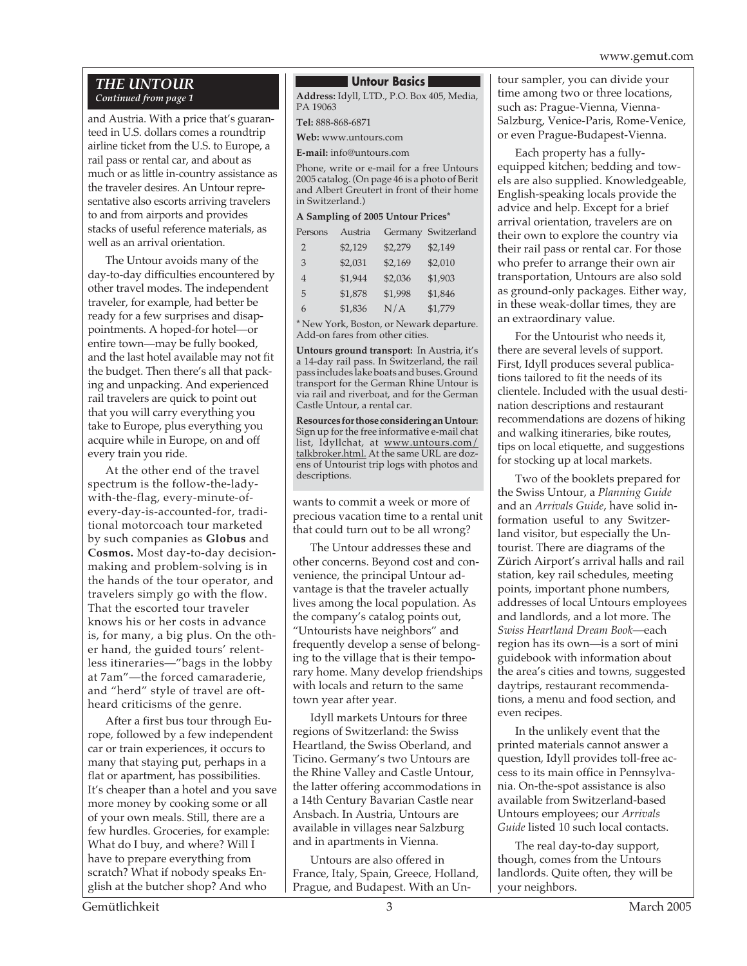#### *THE UNTOUR Continued from page 1*

and Austria. With a price that's guaranteed in U.S. dollars comes a roundtrip airline ticket from the U.S. to Europe, a rail pass or rental car, and about as much or as little in-country assistance as the traveler desires. An Untour representative also escorts arriving travelers to and from airports and provides stacks of useful reference materials, as well as an arrival orientation.

The Untour avoids many of the day-to-day difficulties encountered by other travel modes. The independent traveler, for example, had better be ready for a few surprises and disappointments. A hoped-for hotel—or entire town—may be fully booked, and the last hotel available may not fit the budget. Then there's all that packing and unpacking. And experienced rail travelers are quick to point out that you will carry everything you take to Europe, plus everything you acquire while in Europe, on and off every train you ride.

At the other end of the travel spectrum is the follow-the-ladywith-the-flag, every-minute-ofevery-day-is-accounted-for, traditional motorcoach tour marketed by such companies as **Globus** and **Cosmos.** Most day-to-day decisionmaking and problem-solving is in the hands of the tour operator, and travelers simply go with the flow. That the escorted tour traveler knows his or her costs in advance is, for many, a big plus. On the other hand, the guided tours' relentless itineraries—"bags in the lobby at 7am"—the forced camaraderie, and "herd" style of travel are oftheard criticisms of the genre.

After a first bus tour through Europe, followed by a few independent car or train experiences, it occurs to many that staying put, perhaps in a flat or apartment, has possibilities. It's cheaper than a hotel and you save more money by cooking some or all of your own meals. Still, there are a few hurdles. Groceries, for example: What do I buy, and where? Will I have to prepare everything from scratch? What if nobody speaks English at the butcher shop? And who

#### **Untour Basics**

**Address:** Idyll, LTD., P.O. Box 405, Media, PA 19063

**Tel:** 888-868-6871

**Web:** www.untours.com

**E-mail:** info@untours.com

Phone, write or e-mail for a free Untours 2005 catalog. (On page 46 is a photo of Berit and Albert Greutert in front of their home in Switzerland.)

#### **A Sampling of 2005 Untour Prices\***

| Persons        | Austria |         | Germany Switzerland |
|----------------|---------|---------|---------------------|
| 2              | \$2,129 | \$2,279 | \$2,149             |
| 3              | \$2,031 | \$2,169 | \$2,010             |
| $\overline{4}$ | \$1,944 | \$2,036 | \$1,903             |
| 5              | \$1,878 | \$1,998 | \$1,846             |
| 6              | \$1,836 | N/A     | \$1,779             |

\* New York, Boston, or Newark departure. Add-on fares from other cities.

**Untours ground transport:** In Austria, it's a 14-day rail pass. In Switzerland, the rail pass includes lake boats and buses. Ground transport for the German Rhine Untour is via rail and riverboat, and for the German Castle Untour, a rental car.

**Resources for those considering an Untour:** Sign up for the free informative e-mail chat list, Idyllchat, at www.untours.com/ talkbroker.html. At the same URL are dozens of Untourist trip logs with photos and descriptions.

wants to commit a week or more of precious vacation time to a rental unit that could turn out to be all wrong?

The Untour addresses these and other concerns. Beyond cost and convenience, the principal Untour advantage is that the traveler actually lives among the local population. As the company's catalog points out, "Untourists have neighbors" and frequently develop a sense of belonging to the village that is their temporary home. Many develop friendships with locals and return to the same town year after year.

Idyll markets Untours for three regions of Switzerland: the Swiss Heartland, the Swiss Oberland, and Ticino. Germany's two Untours are the Rhine Valley and Castle Untour, the latter offering accommodations in a 14th Century Bavarian Castle near Ansbach. In Austria, Untours are available in villages near Salzburg and in apartments in Vienna.

Untours are also offered in France, Italy, Spain, Greece, Holland, Prague, and Budapest. With an Untour sampler, you can divide your time among two or three locations, such as: Prague-Vienna, Vienna-Salzburg, Venice-Paris, Rome-Venice, or even Prague-Budapest-Vienna.

Each property has a fullyequipped kitchen; bedding and towels are also supplied. Knowledgeable, English-speaking locals provide the advice and help. Except for a brief arrival orientation, travelers are on their own to explore the country via their rail pass or rental car. For those who prefer to arrange their own air transportation, Untours are also sold as ground-only packages. Either way, in these weak-dollar times, they are an extraordinary value.

For the Untourist who needs it, there are several levels of support. First, Idyll produces several publications tailored to fit the needs of its clientele. Included with the usual destination descriptions and restaurant recommendations are dozens of hiking and walking itineraries, bike routes, tips on local etiquette, and suggestions for stocking up at local markets.

Two of the booklets prepared for the Swiss Untour, a *Planning Guide* and an *Arrivals Guide*, have solid information useful to any Switzerland visitor, but especially the Untourist. There are diagrams of the Zürich Airport's arrival halls and rail station, key rail schedules, meeting points, important phone numbers, addresses of local Untours employees and landlords, and a lot more. The *Swiss Heartland Dream Book*—each region has its own—is a sort of mini guidebook with information about the area's cities and towns, suggested daytrips, restaurant recommendations, a menu and food section, and even recipes.

In the unlikely event that the printed materials cannot answer a question, Idyll provides toll-free access to its main office in Pennsylvania. On-the-spot assistance is also available from Switzerland-based Untours employees; our *Arrivals Guide* listed 10 such local contacts.

The real day-to-day support, though, comes from the Untours landlords. Quite often, they will be your neighbors.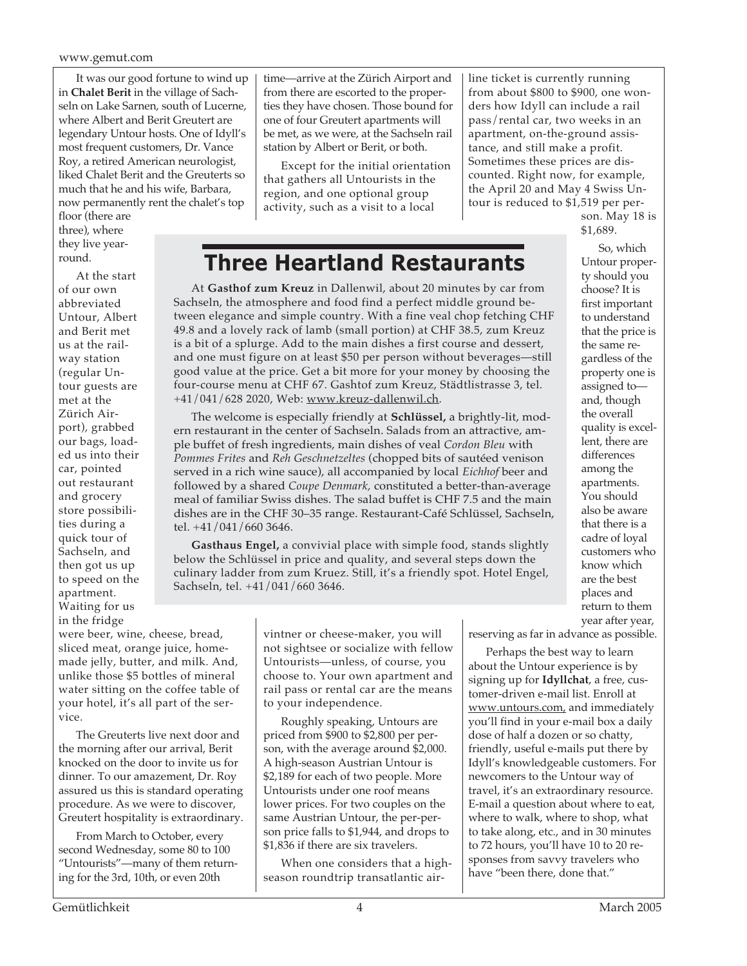It was our good fortune to wind up in **Chalet Berit** in the village of Sachseln on Lake Sarnen, south of Lucerne, where Albert and Berit Greutert are legendary Untour hosts. One of Idyll's most frequent customers, Dr. Vance Roy, a retired American neurologist, liked Chalet Berit and the Greuterts so much that he and his wife, Barbara, now permanently rent the chalet's top

floor (there are three), where they live yearround.

At the start of our own abbreviated Untour, Albert and Berit met us at the railway station (regular Untour guests are met at the Zürich Airport), grabbed our bags, loaded us into their car, pointed out restaurant and grocery store possibilities during a quick tour of Sachseln, and then got us up to speed on the apartment. Waiting for us in the fridge

were beer, wine, cheese, bread, sliced meat, orange juice, homemade jelly, butter, and milk. And, unlike those \$5 bottles of mineral water sitting on the coffee table of your hotel, it's all part of the service.

The Greuterts live next door and the morning after our arrival, Berit knocked on the door to invite us for dinner. To our amazement, Dr. Roy assured us this is standard operating procedure. As we were to discover, Greutert hospitality is extraordinary.

From March to October, every second Wednesday, some 80 to 100 "Untourists"—many of them returning for the 3rd, 10th, or even 20th

time—arrive at the Zürich Airport and from there are escorted to the properties they have chosen. Those bound for one of four Greutert apartments will be met, as we were, at the Sachseln rail station by Albert or Berit, or both.

Except for the initial orientation that gathers all Untourists in the region, and one optional group activity, such as a visit to a local

line ticket is currently running from about \$800 to \$900, one wonders how Idyll can include a rail pass/rental car, two weeks in an apartment, on-the-ground assistance, and still make a profit. Sometimes these prices are discounted. Right now, for example, the April 20 and May 4 Swiss Untour is reduced to \$1,519 per per-

son. May 18 is \$1,689.

### **Three Heartland Restaurants**

At **Gasthof zum Kreuz** in Dallenwil, about 20 minutes by car from Sachseln, the atmosphere and food find a perfect middle ground between elegance and simple country. With a fine veal chop fetching CHF 49.8 and a lovely rack of lamb (small portion) at CHF 38.5, zum Kreuz is a bit of a splurge. Add to the main dishes a first course and dessert, and one must figure on at least \$50 per person without beverages—still good value at the price. Get a bit more for your money by choosing the four-course menu at CHF 67. Gashtof zum Kreuz, Städtlistrasse 3, tel. +41/041/628 2020, Web: www.kreuz-dallenwil.ch.

The welcome is especially friendly at **Schlüssel,** a brightly-lit, modern restaurant in the center of Sachseln. Salads from an attractive, ample buffet of fresh ingredients, main dishes of veal *Cordon Bleu* with *Pommes Frites* and *Reh Geschnetzeltes* (chopped bits of sautéed venison served in a rich wine sauce), all accompanied by local *Eichhof* beer and followed by a shared *Coupe Denmark,* constituted a better-than-average meal of familiar Swiss dishes. The salad buffet is CHF 7.5 and the main dishes are in the CHF 30–35 range. Restaurant-Café Schlüssel, Sachseln, tel. +41/041/660 3646.

**Gasthaus Engel,** a convivial place with simple food, stands slightly below the Schlüssel in price and quality, and several steps down the culinary ladder from zum Kruez. Still, it's a friendly spot. Hotel Engel, Sachseln, tel. +41/041/660 3646.

So, which Untour property should you choose? It is first important to understand that the price is the same regardless of the property one is assigned to and, though the overall quality is excellent, there are differences among the apartments. You should also be aware that there is a cadre of loyal customers who know which are the best places and return to them year after year,

vintner or cheese-maker, you will not sightsee or socialize with fellow Untourists—unless, of course, you choose to. Your own apartment and rail pass or rental car are the means to your independence.

Roughly speaking, Untours are priced from \$900 to \$2,800 per person, with the average around \$2,000. A high-season Austrian Untour is \$2,189 for each of two people. More Untourists under one roof means lower prices. For two couples on the same Austrian Untour, the per-person price falls to \$1,944, and drops to \$1,836 if there are six travelers.

When one considers that a highseason roundtrip transatlantic airreserving as far in advance as possible.

Perhaps the best way to learn about the Untour experience is by signing up for **Idyllchat**, a free, customer-driven e-mail list. Enroll at www.untours.com, and immediately you'll find in your e-mail box a daily dose of half a dozen or so chatty, friendly, useful e-mails put there by Idyll's knowledgeable customers. For newcomers to the Untour way of travel, it's an extraordinary resource. E-mail a question about where to eat, where to walk, where to shop, what to take along, etc., and in 30 minutes to 72 hours, you'll have 10 to 20 responses from savvy travelers who have "been there, done that."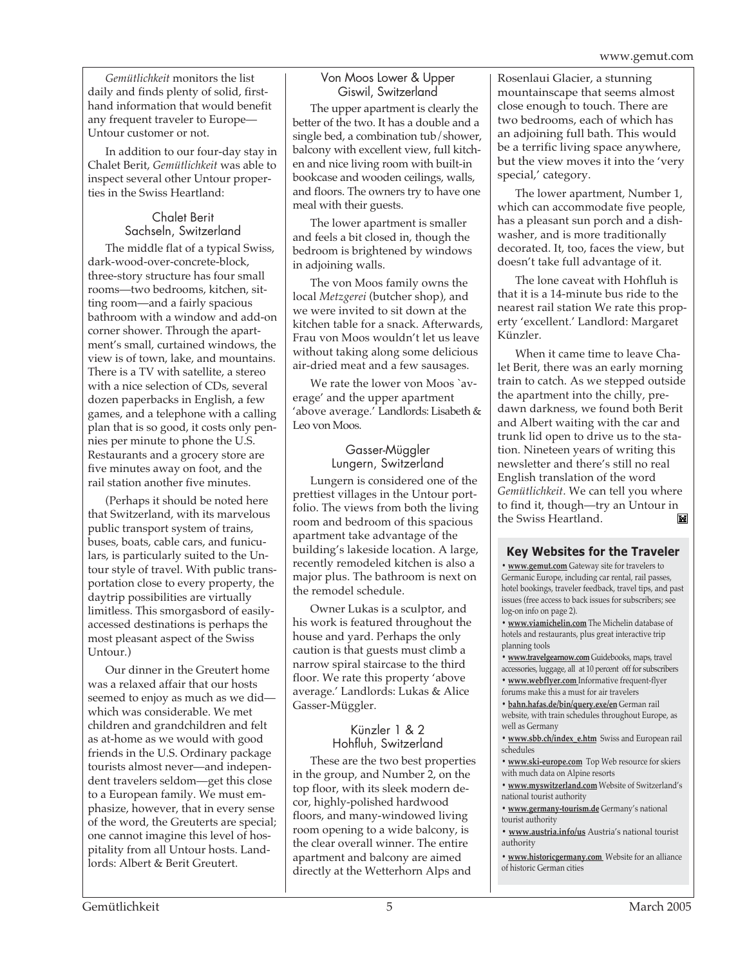*Gemütlichkeit* monitors the list daily and finds plenty of solid, firsthand information that would benefit any frequent traveler to Europe— Untour customer or not.

In addition to our four-day stay in Chalet Berit, *Gemütlichkeit* was able to inspect several other Untour properties in the Swiss Heartland:

#### Chalet Berit Sachseln, Switzerland

The middle flat of a typical Swiss, dark-wood-over-concrete-block, three-story structure has four small rooms—two bedrooms, kitchen, sitting room—and a fairly spacious bathroom with a window and add-on corner shower. Through the apartment's small, curtained windows, the view is of town, lake, and mountains. There is a TV with satellite, a stereo with a nice selection of CDs, several dozen paperbacks in English, a few games, and a telephone with a calling plan that is so good, it costs only pennies per minute to phone the U.S. Restaurants and a grocery store are five minutes away on foot, and the rail station another five minutes.

(Perhaps it should be noted here that Switzerland, with its marvelous public transport system of trains, buses, boats, cable cars, and funiculars, is particularly suited to the Untour style of travel. With public transportation close to every property, the daytrip possibilities are virtually limitless. This smorgasbord of easilyaccessed destinations is perhaps the most pleasant aspect of the Swiss Untour.)

Our dinner in the Greutert home was a relaxed affair that our hosts seemed to enjoy as much as we did which was considerable. We met children and grandchildren and felt as at-home as we would with good friends in the U.S. Ordinary package tourists almost never—and independent travelers seldom—get this close to a European family. We must emphasize, however, that in every sense of the word, the Greuterts are special; one cannot imagine this level of hospitality from all Untour hosts. Landlords: Albert & Berit Greutert.

#### Von Moos Lower & Upper Giswil, Switzerland

The upper apartment is clearly the better of the two. It has a double and a single bed, a combination tub/shower, balcony with excellent view, full kitchen and nice living room with built-in bookcase and wooden ceilings, walls, and floors. The owners try to have one meal with their guests.

The lower apartment is smaller and feels a bit closed in, though the bedroom is brightened by windows in adjoining walls.

The von Moos family owns the local *Metzgerei* (butcher shop), and we were invited to sit down at the kitchen table for a snack. Afterwards, Frau von Moos wouldn't let us leave without taking along some delicious air-dried meat and a few sausages.

We rate the lower von Moos `average' and the upper apartment 'above average.' Landlords: Lisabeth & Leo von Moos.

#### Gasser-Müggler Lungern, Switzerland

Lungern is considered one of the prettiest villages in the Untour portfolio. The views from both the living room and bedroom of this spacious apartment take advantage of the building's lakeside location. A large, recently remodeled kitchen is also a major plus. The bathroom is next on the remodel schedule.

Owner Lukas is a sculptor, and his work is featured throughout the house and yard. Perhaps the only caution is that guests must climb a narrow spiral staircase to the third floor. We rate this property 'above average.' Landlords: Lukas & Alice Gasser-Müggler.

#### Künzler 1 & 2 Hohfluh, Switzerland

These are the two best properties in the group, and Number 2, on the top floor, with its sleek modern decor, highly-polished hardwood floors, and many-windowed living room opening to a wide balcony, is the clear overall winner. The entire apartment and balcony are aimed directly at the Wetterhorn Alps and

Rosenlaui Glacier, a stunning mountainscape that seems almost close enough to touch. There are two bedrooms, each of which has an adjoining full bath. This would be a terrific living space anywhere, but the view moves it into the 'very special,' category.

The lower apartment, Number 1, which can accommodate five people, has a pleasant sun porch and a dishwasher, and is more traditionally decorated. It, too, faces the view, but doesn't take full advantage of it.

The lone caveat with Hohfluh is that it is a 14-minute bus ride to the nearest rail station We rate this property 'excellent.' Landlord: Margaret Künzler.

When it came time to leave Chalet Berit, there was an early morning train to catch. As we stepped outside the apartment into the chilly, predawn darkness, we found both Berit and Albert waiting with the car and trunk lid open to drive us to the station. Nineteen years of writing this newsletter and there's still no real English translation of the word *Gemütlichkeit*. We can tell you where to find it, though—try an Untour in ĬX the Swiss Heartland.

### **Key Websites for the Traveler**

**• www.gemut.com** Gateway site for travelers to Germanic Europe, including car rental, rail passes, hotel bookings, traveler feedback, travel tips, and past issues (free access to back issues for subscribers; see log-on info on page 2).

**• www.viamichelin.com** The Michelin database of hotels and restaurants, plus great interactive trip planning tools

**• www.travelgearnow.com** Guidebooks, maps, travel accessories, luggage, all at 10 percent off for subscribers

- **www.webflyer.com** Informative frequent-flyer forums make this a must for air travelers
- **bahn.hafas.de/bin/query.exe/en** German rail website, with train schedules throughout Europe, as
- well as Germany
- **www.sbb.ch/index\_e.htm** Swiss and European rail schedules
- **www.ski-europe.com** Top Web resource for skiers with much data on Alpine resorts

**• www.myswitzerland.com** Website of Switzerland's national tourist authority

- **www.germany-tourism.de** Germany's national tourist authority
- **www.austria.info/us** Austria's national tourist authority
- **www.historicgermany.com** Website for an alliance of historic German cities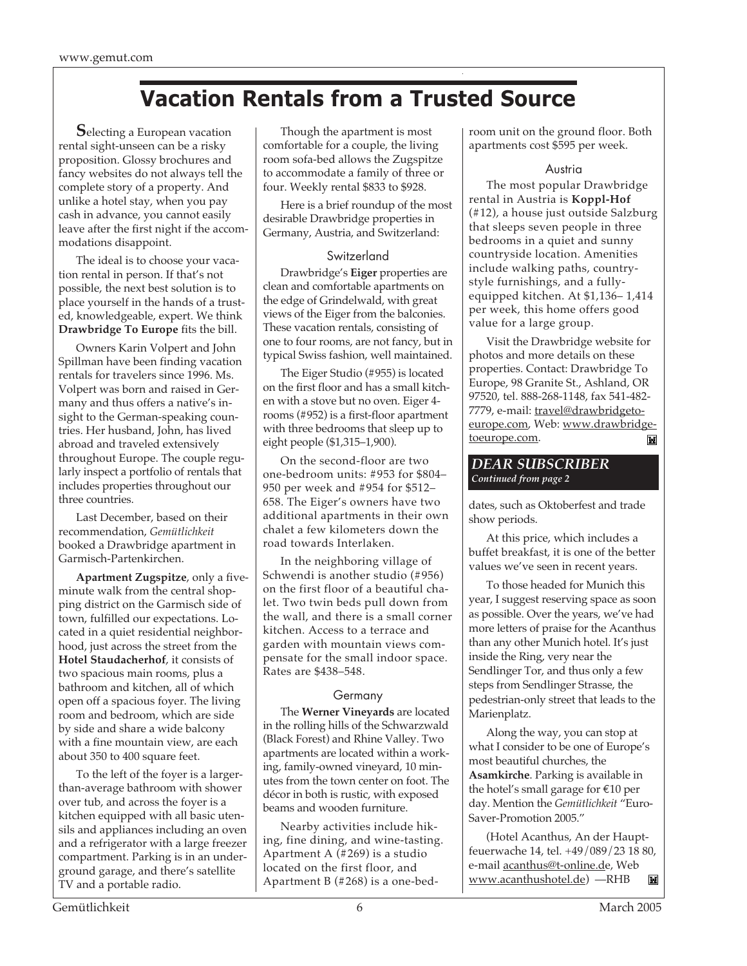### **Vacation Rentals from a Trusted Source**

**S**electing a European vacation rental sight-unseen can be a risky proposition. Glossy brochures and fancy websites do not always tell the complete story of a property. And unlike a hotel stay, when you pay cash in advance, you cannot easily leave after the first night if the accommodations disappoint.

The ideal is to choose your vacation rental in person. If that's not possible, the next best solution is to place yourself in the hands of a trusted, knowledgeable, expert. We think **Drawbridge To Europe** fits the bill.

Owners Karin Volpert and John Spillman have been finding vacation rentals for travelers since 1996. Ms. Volpert was born and raised in Germany and thus offers a native's insight to the German-speaking countries. Her husband, John, has lived abroad and traveled extensively throughout Europe. The couple regularly inspect a portfolio of rentals that includes properties throughout our three countries.

Last December, based on their recommendation, *Gemütlichkeit* booked a Drawbridge apartment in Garmisch-Partenkirchen.

**Apartment Zugspitze**, only a fiveminute walk from the central shopping district on the Garmisch side of town, fulfilled our expectations. Located in a quiet residential neighborhood, just across the street from the **Hotel Staudacherhof**, it consists of two spacious main rooms, plus a bathroom and kitchen, all of which open off a spacious foyer. The living room and bedroom, which are side by side and share a wide balcony with a fine mountain view, are each about 350 to 400 square feet.

To the left of the foyer is a largerthan-average bathroom with shower over tub, and across the foyer is a kitchen equipped with all basic utensils and appliances including an oven and a refrigerator with a large freezer compartment. Parking is in an underground garage, and there's satellite TV and a portable radio.

Though the apartment is most comfortable for a couple, the living room sofa-bed allows the Zugspitze to accommodate a family of three or four. Weekly rental \$833 to \$928.

Here is a brief roundup of the most desirable Drawbridge properties in Germany, Austria, and Switzerland:

#### Switzerland

Drawbridge's **Eiger** properties are clean and comfortable apartments on the edge of Grindelwald, with great views of the Eiger from the balconies. These vacation rentals, consisting of one to four rooms, are not fancy, but in typical Swiss fashion, well maintained.

The Eiger Studio (#955) is located on the first floor and has a small kitchen with a stove but no oven. Eiger 4 rooms (#952) is a first-floor apartment with three bedrooms that sleep up to eight people (\$1,315–1,900).

On the second-floor are two one-bedroom units: #953 for \$804– 950 per week and #954 for \$512– 658. The Eiger's owners have two additional apartments in their own chalet a few kilometers down the road towards Interlaken.

In the neighboring village of Schwendi is another studio (#956) on the first floor of a beautiful chalet. Two twin beds pull down from the wall, and there is a small corner kitchen. Access to a terrace and garden with mountain views compensate for the small indoor space. Rates are \$438–548.

#### **Germany**

The **Werner Vineyards** are located in the rolling hills of the Schwarzwald (Black Forest) and Rhine Valley. Two apartments are located within a working, family-owned vineyard, 10 minutes from the town center on foot. The décor in both is rustic, with exposed beams and wooden furniture.

Nearby activities include hiking, fine dining, and wine-tasting. Apartment A (#269) is a studio located on the first floor, and Apartment B (#268) is a one-bedroom unit on the ground floor. Both apartments cost \$595 per week.

#### Austria

The most popular Drawbridge rental in Austria is **Koppl-Hof** (#12), a house just outside Salzburg that sleeps seven people in three bedrooms in a quiet and sunny countryside location. Amenities include walking paths, countrystyle furnishings, and a fullyequipped kitchen. At \$1,136– 1,414 per week, this home offers good value for a large group.

Visit the Drawbridge website for photos and more details on these properties. Contact: Drawbridge To Europe, 98 Granite St., Ashland, OR 97520, tel. 888-268-1148, fax 541-482- 7779, e-mail: travel@drawbridgetoeurope.com, Web: www.drawbridgetoeurope.com. M

#### *DEAR SUBSCRIBER Continued from page 2*

dates, such as Oktoberfest and trade show periods.

At this price, which includes a buffet breakfast, it is one of the better values we've seen in recent years.

To those headed for Munich this year, I suggest reserving space as soon as possible. Over the years, we've had more letters of praise for the Acanthus than any other Munich hotel. It's just inside the Ring, very near the Sendlinger Tor, and thus only a few steps from Sendlinger Strasse, the pedestrian-only street that leads to the Marienplatz.

Along the way, you can stop at what I consider to be one of Europe's most beautiful churches, the **Asamkirche**. Parking is available in the hotel's small garage for €10 per day. Mention the *Gemütlichkeit* "Euro-Saver-Promotion 2005."

(Hotel Acanthus, An der Hauptfeuerwache 14, tel. +49/089/23 18 80, e-mail acanthus@t-online.de, Web www.acanthushotel.de) —RHB ĬX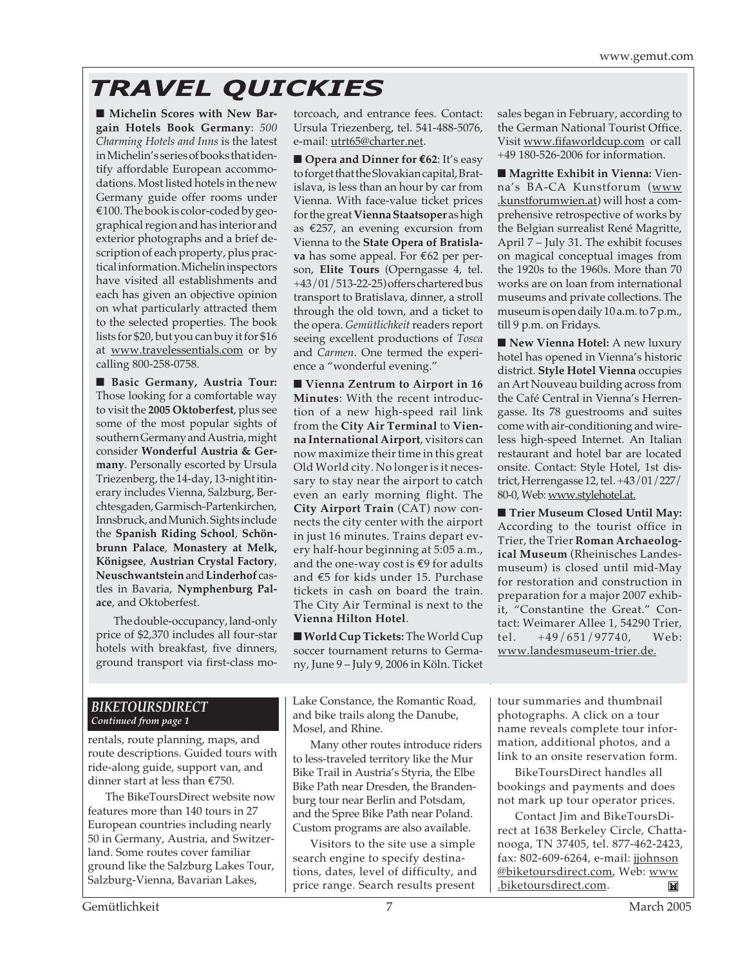# *TRAVEL QUICKIES*

■ Michelin Scores with New Bar**gain Hotels Book Germany**: *500 Charming Hotels and Inns* is the latest in Michelin's series of books that identify affordable European accommodations. Most listed hotels in the new Germany guide offer rooms under  $€100.$  The book is color-coded by geographical region and has interior and exterior photographs and a brief description of each property, plus practical information. Michelin inspectors have visited all establishments and each has given an objective opinion on what particularly attracted them to the selected properties. The book lists for \$20, but you can buy it for \$16 at www.travelessentials.com or by calling 800-258-0758.

■ **Basic Germany, Austria Tour:** Those looking for a comfortable way to visit the **2005 Oktoberfest**, plus see some of the most popular sights of southern Germany and Austria, might consider **Wonderful Austria & Germany**. Personally escorted by Ursula Triezenberg, the 14-day, 13-night itinerary includes Vienna, Salzburg, Berchtesgaden, Garmisch-Partenkirchen, Innsbruck, and Munich. Sights include the **Spanish Riding School**, **Schönbrunn Palace**, **Monastery at Melk, Königsee**, **Austrian Crystal Factory**, **Neuschwantstein** and **Linderhof** castles in Bavaria, **Nymphenburg Palace**, and Oktoberfest.

The double-occupancy, land-only price of \$2,370 includes all four-star hotels with breakfast, five dinners, ground transport via first-class motorcoach, and entrance fees. Contact: Ursula Triezenberg, tel. 541-488-5076, e-mail: utrt65@charter.net.

■ **Opera and Dinner for €62**: It's easy to forget that the Slovakian capital, Bratislava, is less than an hour by car from Vienna. With face-value ticket prices for the great **Vienna Staatsoper**as high as €257, an evening excursion from Vienna to the **State Opera of Bratislava** has some appeal. For €62 per person, **Elite Tours** (Operngasse 4, tel. +43/01/513-22-25) offers chartered bus transport to Bratislava, dinner, a stroll through the old town, and a ticket to the opera. *Gemütlichkeit* readers report seeing excellent productions of *Tosca* and *Carmen*. One termed the experience a "wonderful evening."

■ **Vienna Zentrum to Airport in 16 Minutes**: With the recent introduction of a new high-speed rail link from the **City Air Terminal** to **Vienna International Airport**, visitors can now maximize their time in this great Old World city. No longer is it necessary to stay near the airport to catch even an early morning flight. The **City Airport Train** (CAT) now connects the city center with the airport in just 16 minutes. Trains depart every half-hour beginning at 5:05 a.m., and the one-way cost is €9 for adults and €5 for kids under 15. Purchase tickets in cash on board the train. The City Air Terminal is next to the **Vienna Hilton Hotel**.

■ **World Cup Tickets:** The World Cup soccer tournament returns to Germany, June 9 – July 9, 2006 in Köln. Ticket

sales began in February, according to the German National Tourist Office. Visit www.fifaworldcup.com or call +49 180-526-2006 for information.

■ **Magritte Exhibit in Vienna:** Vienna's BA-CA Kunstforum (www .kunstforumwien.at) will host a comprehensive retrospective of works by the Belgian surrealist René Magritte, April 7 – July 31. The exhibit focuses on magical conceptual images from the 1920s to the 1960s. More than 70 works are on loan from international museums and private collections. The museum is open daily 10 a.m. to 7 p.m., till 9 p.m. on Fridays.

■ **New Vienna Hotel:** A new luxury hotel has opened in Vienna's historic district. **Style Hotel Vienna** occupies an Art Nouveau building across from the Café Central in Vienna's Herrengasse. Its 78 guestrooms and suites come with air-conditioning and wireless high-speed Internet. An Italian restaurant and hotel bar are located onsite. Contact: Style Hotel, 1st district, Herrengasse 12, tel. +43/01/227/ 80-0, Web: www.stylehotel.at.

■ **Trier Museum Closed Until May:** According to the tourist office in Trier, the Trier **Roman Archaeological Museum** (Rheinisches Landesmuseum) is closed until mid-May for restoration and construction in preparation for a major 2007 exhibit, "Constantine the Great." Contact: Weimarer Allee 1, 54290 Trier, tel. +49/651/97740, Web: www.landesmuseum-trier.de.

#### *BIKETOURSDIRECT Continued from page 1*

rentals, route planning, maps, and route descriptions. Guided tours with ride-along guide, support van, and dinner start at less than €750.

The BikeToursDirect website now features more than 140 tours in 27 European countries including nearly 50 in Germany, Austria, and Switzerland. Some routes cover familiar ground like the Salzburg Lakes Tour, Salzburg-Vienna, Bavarian Lakes,

Lake Constance, the Romantic Road, and bike trails along the Danube, Mosel, and Rhine.

Many other routes introduce riders to less-traveled territory like the Mur Bike Trail in Austria's Styria, the Elbe Bike Path near Dresden, the Brandenburg tour near Berlin and Potsdam, and the Spree Bike Path near Poland. Custom programs are also available.

Visitors to the site use a simple search engine to specify destinations, dates, level of difficulty, and price range. Search results present

tour summaries and thumbnail photographs. A click on a tour name reveals complete tour information, additional photos, and a link to an onsite reservation form.

BikeToursDirect handles all bookings and payments and does not mark up tour operator prices.

Contact Jim and BikeToursDirect at 1638 Berkeley Circle, Chattanooga, TN 37405, tel. 877-462-2423, fax: 802-609-6264, e-mail: jjohnson @biketoursdirect.com, Web: www .biketoursdirect.com.M